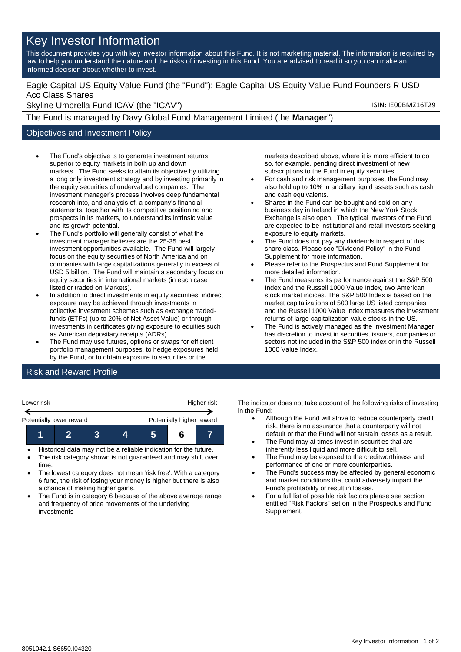# Key Investor Information

This document provides you with key investor information about this Fund. It is not marketing material. The information is required by law to help you understand the nature and the risks of investing in this Fund. You are advised to read it so you can make an informed decision about whether to invest.

## Eagle Capital US Equity Value Fund (the "Fund"): Eagle Capital US Equity Value Fund Founders R USD Acc Class Shares

Skyline Umbrella Fund ICAV (the "ICAV") Skyline Umbrella Fund ICAV (the "ICAV")

The Fund is managed by Davy Global Fund Management Limited (the **Manager**")

## Objectives and Investment Policy

- The Fund's objective is to generate investment returns superior to equity markets in both up and down markets. The Fund seeks to attain its objective by utilizing a long only investment strategy and by investing primarily in the equity securities of undervalued companies. The investment manager's process involves deep fundamental research into, and analysis of, a company's financial statements, together with its competitive positioning and prospects in its markets, to understand its intrinsic value and its growth potential.
- The Fund's portfolio will generally consist of what the investment manager believes are the 25-35 best investment opportunities available. The Fund will largely focus on the equity securities of North America and on companies with large capitalizations generally in excess of USD 5 billion. The Fund will maintain a secondary focus on equity securities in international markets (in each case listed or traded on Markets).
- In addition to direct investments in equity securities, indirect exposure may be achieved through investments in collective investment schemes such as exchange tradedfunds (ETFs) (up to 20% of Net Asset Value) or through investments in certificates giving exposure to equities such as American depositary receipts (ADRs).
- The Fund may use futures, options or swaps for efficient portfolio management purposes, to hedge exposures held by the Fund, or to obtain exposure to securities or the

markets described above, where it is more efficient to do so, for example, pending direct investment of new subscriptions to the Fund in equity securities.

- For cash and risk management purposes, the Fund may also hold up to 10% in ancillary liquid assets such as cash and cash equivalents.
- Shares in the Fund can be bought and sold on any business day in Ireland in which the New York Stock Exchange is also open. The typical investors of the Fund are expected to be institutional and retail investors seeking exposure to equity markets.
- The Fund does not pay any dividends in respect of this share class. Please see "Dividend Policy" in the Fund Supplement for more information.
- Please refer to the Prospectus and Fund Supplement for more detailed information.
- The Fund measures its performance against the S&P 500 Index and the Russell 1000 Value Index, two American stock market indices. The S&P 500 Index is based on the market capitalizations of 500 large US listed companies and the Russell 1000 Value Index measures the investment returns of large capitalization value stocks in the US.
- The Fund is actively managed as the Investment Manager has discretion to invest in securities, issuers, companies or sectors not included in the S&P 500 index or in the Russell 1000 Value Index.

# Risk and Reward Profile

| Lower risk               |  |                           |  | Higher risk |  |  |
|--------------------------|--|---------------------------|--|-------------|--|--|
| Potentially lower reward |  | Potentially higher reward |  |             |  |  |
|                          |  |                           |  |             |  |  |

- Historical data may not be a reliable indication for the future.
- The risk category shown is not guaranteed and may shift over time.
- The lowest category does not mean 'risk free'. With a category 6 fund, the risk of losing your money is higher but there is also a chance of making higher gains.
- The Fund is in category 6 because of the above average range and frequency of price movements of the underlying investments

The indicator does not take account of the following risks of investing in the Fund:

- Although the Fund will strive to reduce counterparty credit risk, there is no assurance that a counterparty will not default or that the Fund will not sustain losses as a result.
- The Fund may at times invest in securities that are inherently less liquid and more difficult to sell.
- The Fund may be exposed to the creditworthiness and performance of one or more counterparties.
- The Fund's success may be affected by general economic and market conditions that could adversely impact the Fund's profitability or result in losses.
- For a full list of possible risk factors please see section entitled "Risk Factors" set on in the Prospectus and Fund Supplement.